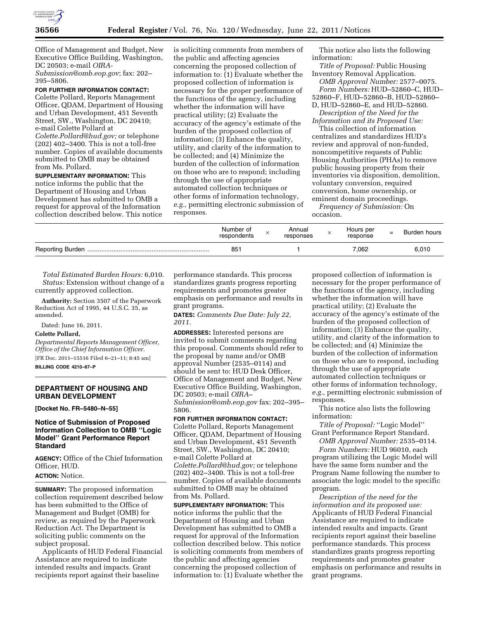

Office of Management and Budget, New Executive Office Building, Washington, DC 20503; e-mail *[OIRA-](mailto:OIRA-Submission@omb.eop.gov)[Submission@omb.eop.gov](mailto:OIRA-Submission@omb.eop.gov)*; fax: 202–

395–5806.

# **FOR FURTHER INFORMATION CONTACT:**

Colette Pollard, Reports Management Officer, QDAM, Department of Housing and Urban Development, 451 Seventh Street, SW., Washington, DC 20410; e-mail Colette Pollard at *[Colette.Pollard@hud.gov;](mailto:Colette.Pollard@hud.gov)* or telephone (202) 402–3400. This is not a toll-free number. Copies of available documents submitted to OMB may be obtained from Ms. Pollard.

**SUPPLEMENTARY INFORMATION:** This notice informs the public that the Department of Housing and Urban Development has submitted to OMB a request for approval of the Information collection described below. This notice

is soliciting comments from members of the public and affecting agencies concerning the proposed collection of information to: (1) Evaluate whether the proposed collection of information is necessary for the proper performance of the functions of the agency, including whether the information will have practical utility; (2) Evaluate the accuracy of the agency's estimate of the burden of the proposed collection of information; (3) Enhance the quality, utility, and clarity of the information to be collected; and (4) Minimize the burden of the collection of information on those who are to respond; including through the use of appropriate automated collection techniques or other forms of information technology, *e.g.,* permitting electronic submission of responses.

This notice also lists the following information:

*Title of Proposal:* Public Housing Inventory Removal Application. *OMB Approval Number:* 2577–0075. *Form Numbers:* HUD–52860–C, HUD– 52860–F, HUD–52860–B, HUD–52860–

D, HUD–52860–E, and HUD–52860. *Description of the Need for the* 

*Information and its Proposed Use:*  This collection of information

centralizes and standardizes HUD's review and approval of non-funded, noncompetitive requests of Public Housing Authorities (PHAs) to remove public housing property from their inventories via disposition, demolition, voluntary conversion, required conversion, home ownership, or eminent domain proceedings.

*Frequency of Submission:* On occasion.

| Number of<br>respondents | Annual<br>responses | Hours per<br>response | $=$ | Burden hours |
|--------------------------|---------------------|-----------------------|-----|--------------|
| 851                      |                     | 062.'                 |     | 6.010        |

*Total Estimated Burden Hours:* 6,010. *Status:* Extension without change of a currently approved collection.

**Authority:** Section 3507 of the Paperwork Reduction Act of 1995, 44 U.S.C. 35, as amended.

Dated: June 16, 2011.

### **Colette Pollard,**

*Departmental Reports Management Officer, Office of the Chief Information Officer.*  [FR Doc. 2011–15516 Filed 6–21–11; 8:45 am] **BILLING CODE 4210–67–P** 

### **DEPARTMENT OF HOUSING AND URBAN DEVELOPMENT**

**[Docket No. FR–5480–N–55]** 

### **Notice of Submission of Proposed Information Collection to OMB ''Logic Model'' Grant Performance Report Standard**

**AGENCY:** Office of the Chief Information Officer, HUD.

# **ACTION:** Notice.

**SUMMARY:** The proposed information collection requirement described below has been submitted to the Office of Management and Budget (OMB) for review, as required by the Paperwork Reduction Act. The Department is soliciting public comments on the subject proposal.

Applicants of HUD Federal Financial Assistance are required to indicate intended results and impacts. Grant recipients report against their baseline

performance standards. This process standardizes grants progress reporting requirements and promotes greater emphasis on performance and results in grant programs.

**DATES:** *Comments Due Date: July 22, 2011.* 

**ADDRESSES:** Interested persons are invited to submit comments regarding this proposal. Comments should refer to the proposal by name and/or OMB approval Number (2535–0114) and should be sent to: HUD Desk Officer, Office of Management and Budget, New Executive Office Building, Washington, DC 20503; e-mail *[OIRA–](mailto:OIRA-Submission@omb.eop.gov)  [Submission@omb.eop.gov](mailto:OIRA-Submission@omb.eop.gov)* fax: 202–395–

5806.

**FOR FURTHER INFORMATION CONTACT:**  Colette Pollard, Reports Management Officer, QDAM, Department of Housing and Urban Development, 451 Seventh Street, SW., Washington, DC 20410; e-mail Colette Pollard at *[Colette.Pollard@hud.gov;](mailto:Colette.Pollard@hud.gov)* or telephone (202) 402–3400. This is not a toll-free number. Copies of available documents submitted to OMB may be obtained from Ms. Pollard.

**SUPPLEMENTARY INFORMATION:** This notice informs the public that the Department of Housing and Urban Development has submitted to OMB a request for approval of the Information collection described below. This notice is soliciting comments from members of the public and affecting agencies concerning the proposed collection of information to: (1) Evaluate whether the

proposed collection of information is necessary for the proper performance of the functions of the agency, including whether the information will have practical utility; (2) Evaluate the accuracy of the agency's estimate of the burden of the proposed collection of information; (3) Enhance the quality, utility, and clarity of the information to be collected; and (4) Minimize the burden of the collection of information on those who are to respond, including through the use of appropriate automated collection techniques or other forms of information technology, *e.g.,* permitting electronic submission of responses.

This notice also lists the following information:

*Title of Proposal:* ''Logic Model'' Grant Performance Report Standard.

*OMB Approval Number:* 2535–0114.

*Form Numbers:* HUD 96010, each program utilizing the Logic Model will have the same form number and the Program Name following the number to associate the logic model to the specific program.

*Description of the need for the information and its proposed use:*  Applicants of HUD Federal Financial Assistance are required to indicate intended results and impacts. Grant recipients report against their baseline performance standards. This process standardizes grants progress reporting requirements and promotes greater emphasis on performance and results in grant programs.